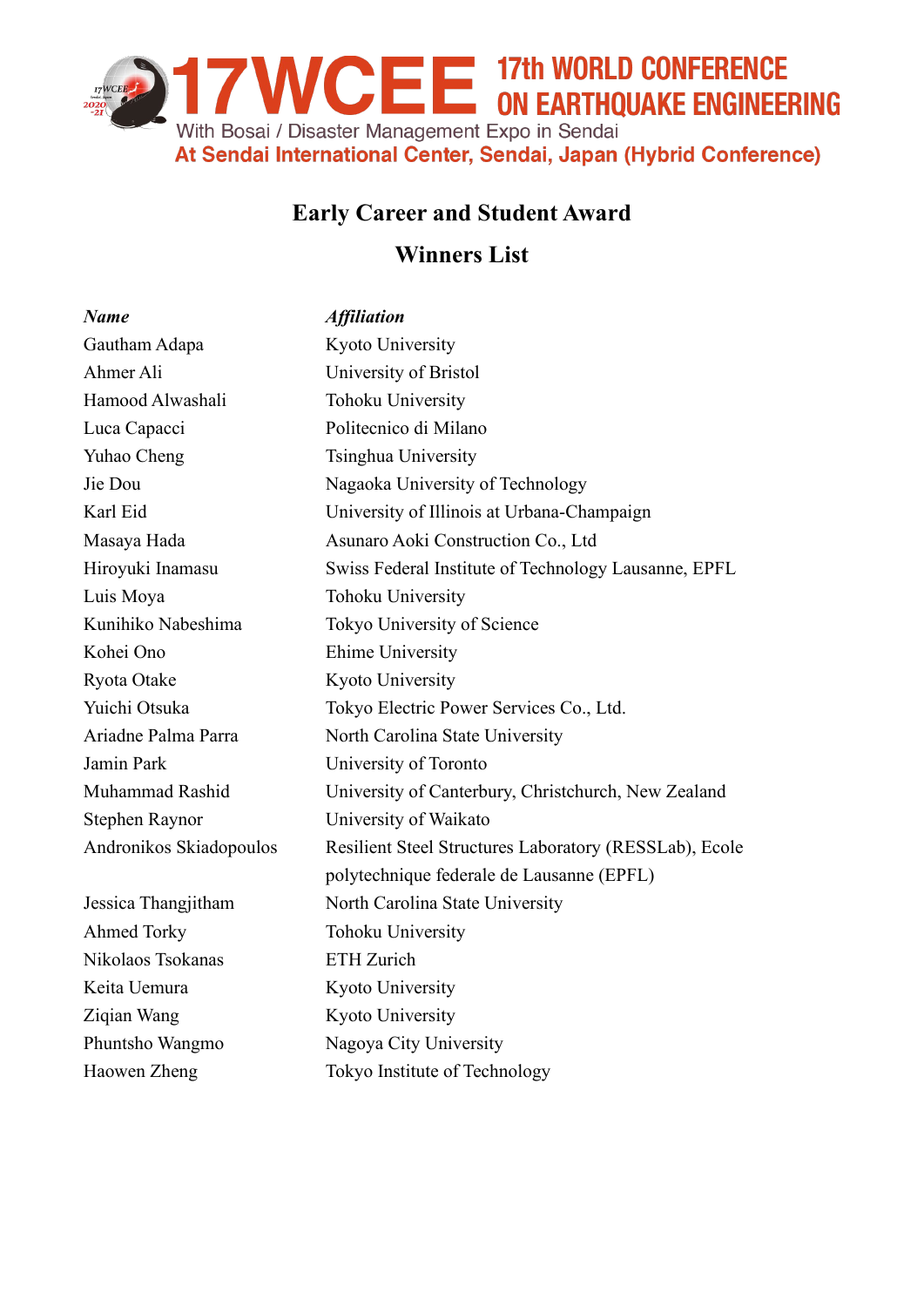

## **Early Career and Student Award**

## **Winners List**

| <b>Name</b>             | <b>Affiliation</b>                                     |
|-------------------------|--------------------------------------------------------|
| Gautham Adapa           | Kyoto University                                       |
| Ahmer Ali               | University of Bristol                                  |
| Hamood Alwashali        | Tohoku University                                      |
| Luca Capacci            | Politecnico di Milano                                  |
| Yuhao Cheng             | Tsinghua University                                    |
| Jie Dou                 | Nagaoka University of Technology                       |
| Karl Eid                | University of Illinois at Urbana-Champaign             |
| Masaya Hada             | Asunaro Aoki Construction Co., Ltd                     |
| Hiroyuki Inamasu        | Swiss Federal Institute of Technology Lausanne, EPFL   |
| Luis Moya               | Tohoku University                                      |
| Kunihiko Nabeshima      | Tokyo University of Science                            |
| Kohei Ono               | <b>Ehime University</b>                                |
| Ryota Otake             | Kyoto University                                       |
| Yuichi Otsuka           | Tokyo Electric Power Services Co., Ltd.                |
| Ariadne Palma Parra     | North Carolina State University                        |
| Jamin Park              | University of Toronto                                  |
| Muhammad Rashid         | University of Canterbury, Christchurch, New Zealand    |
| Stephen Raynor          | University of Waikato                                  |
| Andronikos Skiadopoulos | Resilient Steel Structures Laboratory (RESSLab), Ecole |
|                         | polytechnique federale de Lausanne (EPFL)              |
| Jessica Thangjitham     | North Carolina State University                        |
| Ahmed Torky             | Tohoku University                                      |
| Nikolaos Tsokanas       | <b>ETH</b> Zurich                                      |
| Keita Uemura            | Kyoto University                                       |
| Ziqian Wang             | Kyoto University                                       |
| Phuntsho Wangmo         | Nagoya City University                                 |
| Haowen Zheng            | Tokyo Institute of Technology                          |